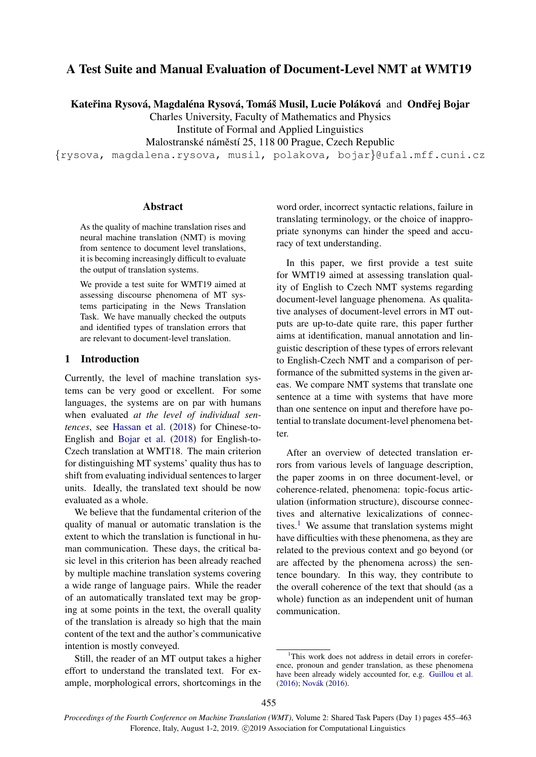# A Test Suite and Manual Evaluation of Document-Level NMT at WMT19

Kateřina Rysová, Magdaléna Rysová, Tomáš Musil, Lucie Poláková and Ondřej Bojar

Charles University, Faculty of Mathematics and Physics Institute of Formal and Applied Linguistics

Malostranské náměstí 25, 118 00 Prague, Czech Republic

{rysova, magdalena.rysova, musil, polakova, bojar}@ufal.mff.cuni.cz

## Abstract

As the quality of machine translation rises and neural machine translation (NMT) is moving from sentence to document level translations, it is becoming increasingly difficult to evaluate the output of translation systems.

We provide a test suite for WMT19 aimed at assessing discourse phenomena of MT systems participating in the News Translation Task. We have manually checked the outputs and identified types of translation errors that are relevant to document-level translation.

# 1 Introduction

Currently, the level of machine translation systems can be very good or excellent. For some languages, the systems are on par with humans when evaluated *at the level of individual sentences*, see [Hassan et al.](#page-8-0) [\(2018\)](#page-8-0) for Chinese-to-English and [Bojar et al.](#page-8-1) [\(2018\)](#page-8-1) for English-to-Czech translation at WMT18. The main criterion for distinguishing MT systems' quality thus has to shift from evaluating individual sentences to larger units. Ideally, the translated text should be now evaluated as a whole.

We believe that the fundamental criterion of the quality of manual or automatic translation is the extent to which the translation is functional in human communication. These days, the critical basic level in this criterion has been already reached by multiple machine translation systems covering a wide range of language pairs. While the reader of an automatically translated text may be groping at some points in the text, the overall quality of the translation is already so high that the main content of the text and the author's communicative intention is mostly conveyed.

Still, the reader of an MT output takes a higher effort to understand the translated text. For example, morphological errors, shortcomings in the

word order, incorrect syntactic relations, failure in translating terminology, or the choice of inappropriate synonyms can hinder the speed and accuracy of text understanding.

In this paper, we first provide a test suite for WMT19 aimed at assessing translation quality of English to Czech NMT systems regarding document-level language phenomena. As qualitative analyses of document-level errors in MT outputs are up-to-date quite rare, this paper further aims at identification, manual annotation and linguistic description of these types of errors relevant to English-Czech NMT and a comparison of performance of the submitted systems in the given areas. We compare NMT systems that translate one sentence at a time with systems that have more than one sentence on input and therefore have potential to translate document-level phenomena better.

After an overview of detected translation errors from various levels of language description, the paper zooms in on three document-level, or coherence-related, phenomena: topic-focus articulation (information structure), discourse connectives and alternative lexicalizations of connec-tives.<sup>[1](#page-0-0)</sup> We assume that translation systems might have difficulties with these phenomena, as they are related to the previous context and go beyond (or are affected by the phenomena across) the sentence boundary. In this way, they contribute to the overall coherence of the text that should (as a whole) function as an independent unit of human communication.

<span id="page-0-0"></span><sup>&</sup>lt;sup>1</sup>This work does not address in detail errors in coreference, pronoun and gender translation, as these phenomena have been already widely accounted for, e.g. [Guillou et al.](#page-8-2) [\(2016\)](#page-8-3); Novák (2016).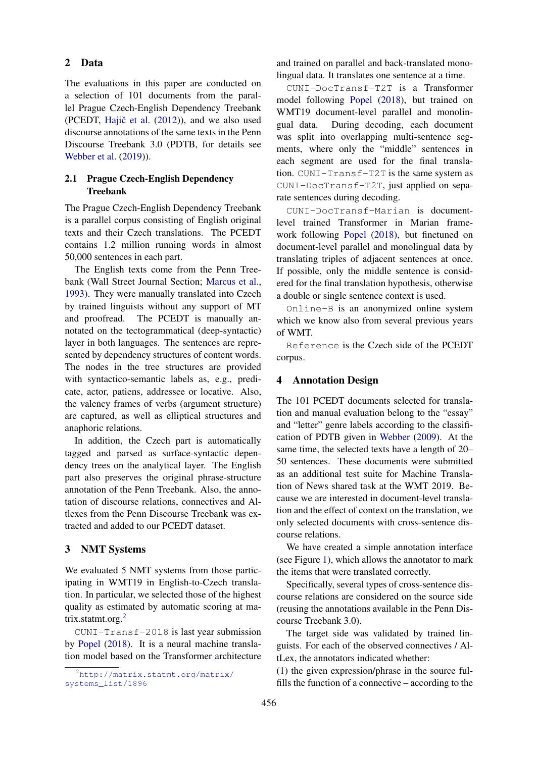### 2 Data

The evaluations in this paper are conducted on a selection of 101 documents from the parallel Prague Czech-English Dependency Treebank (PCEDT, Hajič et al.  $(2012)$ ), and we also used discourse annotations of the same texts in the Penn Discourse Treebank 3.0 (PDTB, for details see [Webber et al.](#page-8-5) [\(2019\)](#page-8-5)).

# 2.1 Prague Czech-English Dependency Treebank

The Prague Czech-English Dependency Treebank is a parallel corpus consisting of English original texts and their Czech translations. The PCEDT contains 1.2 million running words in almost 50,000 sentences in each part.

The English texts come from the Penn Treebank (Wall Street Journal Section; [Marcus et al.,](#page-8-6) [1993\)](#page-8-6). They were manually translated into Czech by trained linguists without any support of MT and proofread. The PCEDT is manually annotated on the tectogrammatical (deep-syntactic) layer in both languages. The sentences are represented by dependency structures of content words. The nodes in the tree structures are provided with syntactico-semantic labels as, e.g., predicate, actor, patiens, addressee or locative. Also, the valency frames of verbs (argument structure) are captured, as well as elliptical structures and anaphoric relations.

In addition, the Czech part is automatically tagged and parsed as surface-syntactic dependency trees on the analytical layer. The English part also preserves the original phrase-structure annotation of the Penn Treebank. Also, the annotation of discourse relations, connectives and Altlexes from the Penn Discourse Treebank was extracted and added to our PCEDT dataset.

## 3 NMT Systems

We evaluated 5 NMT systems from those participating in WMT19 in English-to-Czech translation. In particular, we selected those of the highest quality as estimated by automatic scoring at ma-trix.statmt.org.<sup>[2](#page-1-0)</sup>

CUNI-Transf-2018 is last year submission by [Popel](#page-8-7) [\(2018\)](#page-8-7). It is a neural machine translation model based on the Transformer architecture

and trained on parallel and back-translated monolingual data. It translates one sentence at a time.

CUNI-DocTransf-T2T is a Transformer model following [Popel](#page-8-7) [\(2018\)](#page-8-7), but trained on WMT19 document-level parallel and monolingual data. During decoding, each document was split into overlapping multi-sentence segments, where only the "middle" sentences in each segment are used for the final translation. CUNI-Transf-T2T is the same system as CUNI-DocTransf-T2T, just applied on separate sentences during decoding.

CUNI-DocTransf-Marian is documentlevel trained Transformer in Marian framework following [Popel](#page-8-7) [\(2018\)](#page-8-7), but finetuned on document-level parallel and monolingual data by translating triples of adjacent sentences at once. If possible, only the middle sentence is considered for the final translation hypothesis, otherwise a double or single sentence context is used.

Online-B is an anonymized online system which we know also from several previous years of WMT.

Reference is the Czech side of the PCEDT corpus.

### <span id="page-1-1"></span>4 Annotation Design

The 101 PCEDT documents selected for translation and manual evaluation belong to the "essay" and "letter" genre labels according to the classification of PDTB given in [Webber](#page-8-8) [\(2009\)](#page-8-8). At the same time, the selected texts have a length of 20– 50 sentences. These documents were submitted as an additional test suite for Machine Translation of News shared task at the WMT 2019. Because we are interested in document-level translation and the effect of context on the translation, we only selected documents with cross-sentence discourse relations.

We have created a simple annotation interface (see Figure [1\)](#page-2-0), which allows the annotator to mark the items that were translated correctly.

Specifically, several types of cross-sentence discourse relations are considered on the source side (reusing the annotations available in the Penn Discourse Treebank 3.0).

The target side was validated by trained linguists. For each of the observed connectives / AltLex, the annotators indicated whether:

(1) the given expression/phrase in the source fulfills the function of a connective – according to the

<span id="page-1-0"></span><sup>2</sup>[http://matrix.statmt.org/matrix/](http://matrix.statmt.org/matrix/systems_list/1896) [systems\\_list/1896](http://matrix.statmt.org/matrix/systems_list/1896)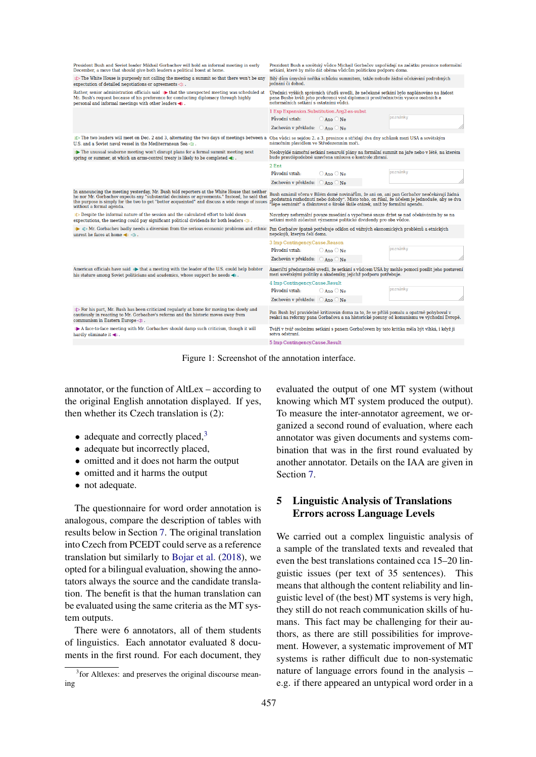<span id="page-2-0"></span>

| President Bush and Soviet leader Mikhail Gorbachev will hold an informal meeting in early<br>December, a move that should give both leaders a political boost at home.                                                                                                                                                       | Prezident Bush a sovětský vůdce Michail Gorbačov uspořádají na začátku prosince neformální<br>setkání, které by mělo dát oběma vůdcům politickou podporu doma.                                                                                                          |  |  |  |
|------------------------------------------------------------------------------------------------------------------------------------------------------------------------------------------------------------------------------------------------------------------------------------------------------------------------------|-------------------------------------------------------------------------------------------------------------------------------------------------------------------------------------------------------------------------------------------------------------------------|--|--|--|
| $1$ The White House is purposely not calling the meeting a summit so that there won't be any<br>expectation of detailed negotiations or agreements $\triangleleft$ 1.                                                                                                                                                        | Bílý dům úmyslně neříká schůzku summitem, takže nebude žádné očekávání podrobných<br>jednání či dohod.                                                                                                                                                                  |  |  |  |
| Rather, senior administration officials said 1 that the unexpected meeting was scheduled at<br>Mr. Bush's request because of his preference for conducting diplomacy through highly<br>personal and informal meetings with other leaders <1.                                                                                 | Úředníci vyšších správních úřadů uvedli, že nečekané setkání bylo naplánováno na žádost<br>pana Bushe kvůli jeho preferenci vést diplomacii prostřednictvím vysoce osobních a<br>neformálních setkání s ostatními vůdci.                                                |  |  |  |
|                                                                                                                                                                                                                                                                                                                              | 1 Exp Expansion.Substitution.Arg2-as-subst                                                                                                                                                                                                                              |  |  |  |
|                                                                                                                                                                                                                                                                                                                              | poznámky<br>Původní vztah:<br>$\circ$ Ano $\circ$ Ne                                                                                                                                                                                                                    |  |  |  |
|                                                                                                                                                                                                                                                                                                                              | Zachován v překladu: ⊙ Ano ⊙ Ne                                                                                                                                                                                                                                         |  |  |  |
| $2$ The two leaders will meet on Dec. 2 and 3, alternating the two days of meetings between a<br>U.S. and a Soviet naval vessel in the Mediterranean Sea $\langle 2 \rangle$ .                                                                                                                                               | Oba vůdci se sejdou 2. a 3. prosince a střídají dva dny schůzek mezi USA a sovětským<br>námořním plavidlem ve Středozemním moři.                                                                                                                                        |  |  |  |
| 2> The unusual seaborne meeting won't disrupt plans for a formal summit meeting next<br>spring or summer, at which an arms-control treaty is likely to be completed $\blacktriangleleft$ .                                                                                                                                   | Neobvyklé námořní setkání nenaruší plány na formální summit na jaře nebo v létě, na kterém<br>bude pravděpodobně uzavřena smlouva o kontrole zbraní.                                                                                                                    |  |  |  |
|                                                                                                                                                                                                                                                                                                                              | 2 Ent                                                                                                                                                                                                                                                                   |  |  |  |
|                                                                                                                                                                                                                                                                                                                              | poznámky<br>Původní vztah:<br>$\bigcirc$ Ano $\bigcirc$ Ne                                                                                                                                                                                                              |  |  |  |
|                                                                                                                                                                                                                                                                                                                              | Zachován v překladu: ⊙ Ano ⊙ Ne                                                                                                                                                                                                                                         |  |  |  |
| In announcing the meeting yesterday, Mr. Bush told reporters at the White House that neither<br>he nor Mr. Gorbachev expects any "substantial decisions or agreements." Instead, he said that<br>the purpose is simply for the two to get "better acquainted" and discuss a wide range of issues<br>without a formal agenda. | Bush oznámil včera v Bílém domě novinářům, že ani on, ani pan Gorbačov neočekávají žádná<br>podstatná rozhodnutí nebo dohody". Místo toho, on říkal, že účelem je jednoduše, aby se dva,<br>lépe seznámit" a diskutovat o široké škále otázek, aniž by formální agendu. |  |  |  |
| 3 Despite the informal nature of the session and the calculated effort to hold down<br>expectations, the meeting could pay significant political dividends for both leaders $\triangleleft$ a.                                                                                                                               | Navzdory neformální povaze zasedání a vypočtené snaze držet se nad očekáváním by se na<br>setkání mohli zúčastnit významné politické dividendy pro oba vůdce.                                                                                                           |  |  |  |
| $\Rightarrow$ 4 $\triangleright$ Mr. Gorbachev badly needs a diversion from the serious economic problems and ethnic<br>unrest he faces at home $\blacktriangleleft$ $\triangleleft$ 4.                                                                                                                                      | Pan Gorbačov špatně potřebuje odklon od vážných ekonomických problémů a etnických<br>nepokojů, kterým čelí doma.                                                                                                                                                        |  |  |  |
|                                                                                                                                                                                                                                                                                                                              | 3 Imp Contingency.Cause.Reason                                                                                                                                                                                                                                          |  |  |  |
|                                                                                                                                                                                                                                                                                                                              | poznámky<br>Původní vztah:<br>$\bigcirc$ Ano $\bigcirc$ Ne                                                                                                                                                                                                              |  |  |  |
|                                                                                                                                                                                                                                                                                                                              | Zachován v překladu: Ano Ne                                                                                                                                                                                                                                             |  |  |  |
| American officials have said $\oplus$ that a meeting with the leader of the U.S. could help bolster<br>his stature among Soviet politicians and academics, whose support he needs $\blacktriangleleft$ .                                                                                                                     | Američtí představitelé uvedli, že setkání s vůdcem USA by mohlo pomoci posílit jeho postavení<br>mezi sovětskými politiky a akademiky, jejichž podporu potřebuje.                                                                                                       |  |  |  |
|                                                                                                                                                                                                                                                                                                                              | 4 Imp Contingency.Cause.Result                                                                                                                                                                                                                                          |  |  |  |
|                                                                                                                                                                                                                                                                                                                              | poznámky<br>Původní vztah:<br>$\bigcirc$ Ano $\bigcirc$ Ne                                                                                                                                                                                                              |  |  |  |
|                                                                                                                                                                                                                                                                                                                              | Zachován v překladu: ○ Ano ○ Ne                                                                                                                                                                                                                                         |  |  |  |
| 5 > For his part, Mr. Bush has been criticized regularly at home for moving too slowly and<br>cautiously in reacting to Mr. Gorbachev's reforms and the historic moves away from<br>communism in Eastern Europe $\leq 5$ .                                                                                                   | Pan Bush byl pravidelně kritizován doma za to, že se příliš pomalu a opatrně pohyboval v<br>reakci na reformy pana Gorbačova a na historické posuny od komunismu ve východní Evropě.                                                                                    |  |  |  |
| 5 A face-to-face meeting with Mr. Gorbachev should damp such criticism, though it will<br>hardly eliminate it $\blacktriangleleft$ <sub>5</sub> .                                                                                                                                                                            | Tváří v tvář osobnímu setkání s panem Gorbačovem by tato kritika měla být vlhká, i když ji<br>sotva odstraní.                                                                                                                                                           |  |  |  |
|                                                                                                                                                                                                                                                                                                                              | 5 Imp Contingency.Cause.Result                                                                                                                                                                                                                                          |  |  |  |

Figure 1: Screenshot of the annotation interface.

annotator, or the function of AltLex – according to the original English annotation displayed. If yes, then whether its Czech translation is (2):

- adequate and correctly placed, $3$
- adequate but incorrectly placed,
- omitted and it does not harm the output
- omitted and it harms the output
- not adequate.

The questionnaire for word order annotation is analogous, compare the description of tables with results below in Section [7.](#page-5-0) The original translation into Czech from PCEDT could serve as a reference translation but similarly to [Bojar et al.](#page-8-1) [\(2018\)](#page-8-1), we opted for a bilingual evaluation, showing the annotators always the source and the candidate translation. The benefit is that the human translation can be evaluated using the same criteria as the MT system outputs.

There were 6 annotators, all of them students of linguistics. Each annotator evaluated 8 documents in the first round. For each document, they evaluated the output of one MT system (without knowing which MT system produced the output). To measure the inter-annotator agreement, we organized a second round of evaluation, where each annotator was given documents and systems combination that was in the first round evaluated by another annotator. Details on the IAA are given in Section [7.](#page-5-0)

# 5 Linguistic Analysis of Translations Errors across Language Levels

We carried out a complex linguistic analysis of a sample of the translated texts and revealed that even the best translations contained cca 15–20 linguistic issues (per text of 35 sentences). This means that although the content reliability and linguistic level of (the best) MT systems is very high, they still do not reach communication skills of humans. This fact may be challenging for their authors, as there are still possibilities for improvement. However, a systematic improvement of MT systems is rather difficult due to non-systematic nature of language errors found in the analysis – e.g. if there appeared an untypical word order in a

<span id="page-2-1"></span><sup>&</sup>lt;sup>3</sup> for Altlexes: and preserves the original discourse meaning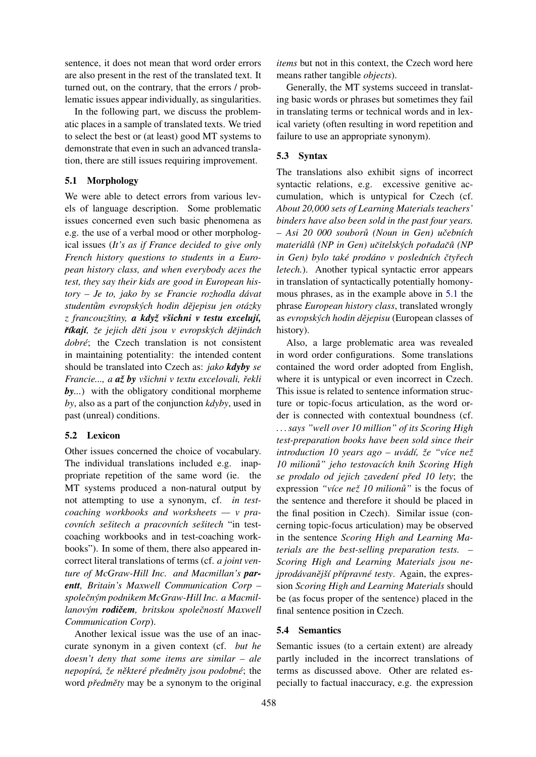sentence, it does not mean that word order errors are also present in the rest of the translated text. It turned out, on the contrary, that the errors / problematic issues appear individually, as singularities.

In the following part, we discuss the problematic places in a sample of translated texts. We tried to select the best or (at least) good MT systems to demonstrate that even in such an advanced translation, there are still issues requiring improvement.

# <span id="page-3-0"></span>5.1 Morphology

We were able to detect errors from various levels of language description. Some problematic issues concerned even such basic phenomena as e.g. the use of a verbal mood or other morphological issues (*It's as if France decided to give only French history questions to students in a European history class, and when everybody aces the test, they say their kids are good in European history – Je to, jako by se Francie rozhodla davat ´ studentum evropsk ˚ ych hodin d ´ ejepisu jen ot ˇ azky ´* z francouzštiny, a když všichni v testu excelují, *r***íkají**, že jejich děti jsou v evropských dějinách *dobre´*; the Czech translation is not consistent in maintaining potentiality: the intended content should be translated into Czech as: *jako kdyby se Francie..., a az by ˇ vsichni v textu excelovali, ˇ rekli ˇ by...*) with the obligatory conditional morpheme *by*, also as a part of the conjunction *kdyby*, used in past (unreal) conditions.

### 5.2 Lexicon

Other issues concerned the choice of vocabulary. The individual translations included e.g. inappropriate repetition of the same word (ie. the MT systems produced a non-natural output by not attempting to use a synonym, cf. *in testcoaching workbooks and worksheets — v pracovních sešitech a pracovních sešitech* "in testcoaching workbooks and in test-coaching workbooks"). In some of them, there also appeared incorrect literal translations of terms (cf. *a joint venture of McGraw-Hill Inc. and Macmillan's parentt, Britain's Maxwell Communication Corp – spolecnˇ ym podnikem McGraw-Hill Inc. a Macmil- ´ lanovym´ rodicemˇ , britskou spolecnost ˇ ´ı Maxwell Communication Corp*).

Another lexical issue was the use of an inaccurate synonym in a given context (cf. *but he doesn't deny that some items are similar – ale nepop´ıra, ´ ze n ˇ ekter ˇ e p ´ redm ˇ ety jsou podobn ˇ e´*; the word *předměty* may be a synonym to the original

*items* but not in this context, the Czech word here means rather tangible *objects*).

Generally, the MT systems succeed in translating basic words or phrases but sometimes they fail in translating terms or technical words and in lexical variety (often resulting in word repetition and failure to use an appropriate synonym).

# 5.3 Syntax

The translations also exhibit signs of incorrect syntactic relations, e.g. excessive genitive accumulation, which is untypical for Czech (cf. *About 20,000 sets of Learning Materials teachers' binders have also been sold in the past four years. – Asi 20 000 souboru (Noun in Gen) u ˚ cebn ˇ ´ıch material´ u (NP in Gen) u ˚ citelsk ˇ ych po ´ rada ˇ cˇu (NP ˚ in Gen)* bylo také prodáno v posledních čtyřech *letech.*). Another typical syntactic error appears in translation of syntactically potentially homonymous phrases, as in the example above in [5.1](#page-3-0) the phrase *European history class*, translated wrongly as *evropskych hodin d ´ ejepisu ˇ* (European classes of history).

Also, a large problematic area was revealed in word order configurations. Some translations contained the word order adopted from English, where it is untypical or even incorrect in Czech. This issue is related to sentence information structure or topic-focus articulation, as the word order is connected with contextual boundness (cf. *. . . says "well over 10 million" of its Scoring High test-preparation books have been sold since their introduction 10 years ago – uvádí, že "více než 10 milionu" jeho testovac ˚ ´ıch knih Scoring High se prodalo od jejich zavedení před 10 lety*; the expression "více než 10 milionů" is the focus of the sentence and therefore it should be placed in the final position in Czech). Similar issue (concerning topic-focus articulation) may be observed in the sentence *Scoring High and Learning Materials are the best-selling preparation tests. – Scoring High and Learning Materials jsou nejprodávanější přípravné testy.* Again, the expression *Scoring High and Learning Materials* should be (as focus proper of the sentence) placed in the final sentence position in Czech.

### 5.4 Semantics

Semantic issues (to a certain extent) are already partly included in the incorrect translations of terms as discussed above. Other are related especially to factual inaccuracy, e.g. the expression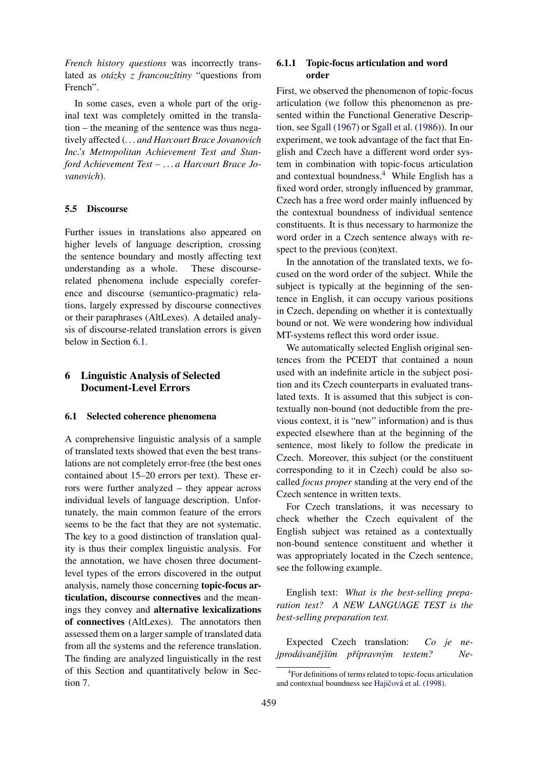*French history questions* was incorrectly translated as *otázky z francouzštiny* "questions from French".

In some cases, even a whole part of the original text was completely omitted in the translation – the meaning of the sentence was thus negatively affected (*. . . and Harcourt Brace Jovanovich Inc.'s Metropolitan Achievement Test and Stanford Achievement Test – . . . a Harcourt Brace Jovanovich*).

#### 5.5 Discourse

Further issues in translations also appeared on higher levels of language description, crossing the sentence boundary and mostly affecting text understanding as a whole. These discourserelated phenomena include especially coreference and discourse (semantico-pragmatic) relations, largely expressed by discourse connectives or their paraphrases (AltLexes). A detailed analysis of discourse-related translation errors is given below in Section [6.1.](#page-4-0)

# 6 Linguistic Analysis of Selected Document-Level Errors

#### <span id="page-4-0"></span>6.1 Selected coherence phenomena

A comprehensive linguistic analysis of a sample of translated texts showed that even the best translations are not completely error-free (the best ones contained about 15–20 errors per text). These errors were further analyzed – they appear across individual levels of language description. Unfortunately, the main common feature of the errors seems to be the fact that they are not systematic. The key to a good distinction of translation quality is thus their complex linguistic analysis. For the annotation, we have chosen three documentlevel types of the errors discovered in the output analysis, namely those concerning topic-focus articulation, discourse connectives and the meanings they convey and alternative lexicalizations of connectives (AltLexes). The annotators then assessed them on a larger sample of translated data from all the systems and the reference translation. The finding are analyzed linguistically in the rest of this Section and quantitatively below in Section [7.](#page-5-0)

# 6.1.1 Topic-focus articulation and word order

First, we observed the phenomenon of topic-focus articulation (we follow this phenomenon as presented within the Functional Generative Description, see [Sgall](#page-8-9) [\(1967\)](#page-8-9) or [Sgall et al.](#page-8-10) [\(1986\)](#page-8-10)). In our experiment, we took advantage of the fact that English and Czech have a different word order system in combination with topic-focus articulation and contextual boundness.[4](#page-4-1) While English has a fixed word order, strongly influenced by grammar, Czech has a free word order mainly influenced by the contextual boundness of individual sentence constituents. It is thus necessary to harmonize the word order in a Czech sentence always with respect to the previous (con)text.

In the annotation of the translated texts, we focused on the word order of the subject. While the subject is typically at the beginning of the sentence in English, it can occupy various positions in Czech, depending on whether it is contextually bound or not. We were wondering how individual MT-systems reflect this word order issue.

We automatically selected English original sentences from the PCEDT that contained a noun used with an indefinite article in the subject position and its Czech counterparts in evaluated translated texts. It is assumed that this subject is contextually non-bound (not deductible from the previous context, it is "new" information) and is thus expected elsewhere than at the beginning of the sentence, most likely to follow the predicate in Czech. Moreover, this subject (or the constituent corresponding to it in Czech) could be also socalled *focus proper* standing at the very end of the Czech sentence in written texts.

For Czech translations, it was necessary to check whether the Czech equivalent of the English subject was retained as a contextually non-bound sentence constituent and whether it was appropriately located in the Czech sentence, see the following example.

English text: *What is the best-selling preparation test? A NEW LANGUAGE TEST is the best-selling preparation test.*

Expected Czech translation: *Co je nejprodávanějším přípravným testem?* Ne-

<span id="page-4-1"></span><sup>4</sup> For definitions of terms related to topic-focus articulation and contextual boundness see Hajičová et al. [\(1998\)](#page-8-11).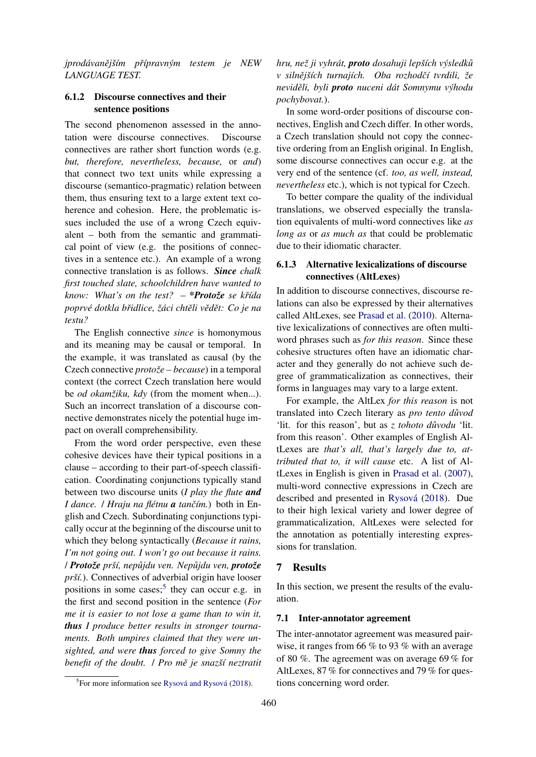*jprodavan ´ ejˇ sˇ´ım prˇ´ıpravnym testem je NEW ´ LANGUAGE TEST.*

# 6.1.2 Discourse connectives and their sentence positions

The second phenomenon assessed in the annotation were discourse connectives. Discourse connectives are rather short function words (e.g. *but, therefore, nevertheless, because,* or *and*) that connect two text units while expressing a discourse (semantico-pragmatic) relation between them, thus ensuring text to a large extent text coherence and cohesion. Here, the problematic issues included the use of a wrong Czech equivalent – both from the semantic and grammatical point of view (e.g. the positions of connectives in a sentence etc.). An example of a wrong connective translation is as follows. *Since chalk first touched slate, schoolchildren have wanted to know:* What's on the test? – \***Protože** se křída *poprve dotkla b ´ ridlice, ˇ zˇaci cht ´ eli v ˇ edˇ et: Co je na ˇ testu?*

The English connective *since* is homonymous and its meaning may be causal or temporal. In the example, it was translated as causal (by the Czech connective *protože – because*) in a temporal context (the correct Czech translation here would be *od okamžiku, kdy* (from the moment when...). Such an incorrect translation of a discourse connective demonstrates nicely the potential huge impact on overall comprehensibility.

From the word order perspective, even these cohesive devices have their typical positions in a clause – according to their part-of-speech classification. Coordinating conjunctions typically stand between two discourse units (*I play the flute and I dance.* / *Hraju na flétnu a tančím.*) both in English and Czech. Subordinating conjunctions typically occur at the beginning of the discourse unit to which they belong syntactically (*Because it rains, I'm not going out. I won't go out because it rains.* / *Protozeˇ prsˇ´ı, nepujdu ven. Nep ˚ ujdu ven, ˚ protozeˇ prší.*). Connectives of adverbial origin have looser positions in some cases;<sup>[5](#page-5-1)</sup> they can occur e.g. in the first and second position in the sentence (*For me it is easier to not lose a game than to win it, thus I produce better results in stronger tournaments. Both umpires claimed that they were unsighted, and were thus forced to give Somny the benefit of the doubt. / Pro mě je snazší neztratit* 

<span id="page-5-1"></span> ${}^{5}$ For more information see Rysová and Rysová [\(2018\)](#page-8-12).

*hru, nez ji vyhr ˇ at, ´ proto dosahuji lepsˇ´ıch vysledk ´ u˚ v* silnějších turnajích. Oba rozhodčí tvrdili, že *neviděli, byli proto nuceni dát Somnymu výhodu pochybovat.*).

In some word-order positions of discourse connectives, English and Czech differ. In other words, a Czech translation should not copy the connective ordering from an English original. In English, some discourse connectives can occur e.g. at the very end of the sentence (cf. *too, as well, instead, nevertheless* etc.), which is not typical for Czech.

To better compare the quality of the individual translations, we observed especially the translation equivalents of multi-word connectives like *as long as* or *as much as* that could be problematic due to their idiomatic character.

# 6.1.3 Alternative lexicalizations of discourse connectives (AltLexes)

In addition to discourse connectives, discourse relations can also be expressed by their alternatives called AltLexes, see [Prasad et al.](#page-8-13) [\(2010\)](#page-8-13). Alternative lexicalizations of connectives are often multiword phrases such as *for this reason*. Since these cohesive structures often have an idiomatic character and they generally do not achieve such degree of grammaticalization as connectives, their forms in languages may vary to a large extent.

For example, the AltLex *for this reason* is not translated into Czech literary as *pro tento důvod* 'lit. for this reason', but as *z tohoto důvodu* 'lit. from this reason'. Other examples of English AltLexes are *that's all, that's largely due to, attributed that to, it will cause* etc. A list of AltLexes in English is given in [Prasad et al.](#page-8-14) [\(2007\)](#page-8-14), multi-word connective expressions in Czech are described and presented in Rysová [\(2018\)](#page-8-15). Due to their high lexical variety and lower degree of grammaticalization, AltLexes were selected for the annotation as potentially interesting expressions for translation.

### <span id="page-5-0"></span>7 Results

In this section, we present the results of the evaluation.

#### 7.1 Inter-annotator agreement

The inter-annotator agreement was measured pairwise, it ranges from 66 % to 93 % with an average of 80 %. The agreement was on average 69 % for AltLexes, 87 % for connectives and 79 % for questions concerning word order.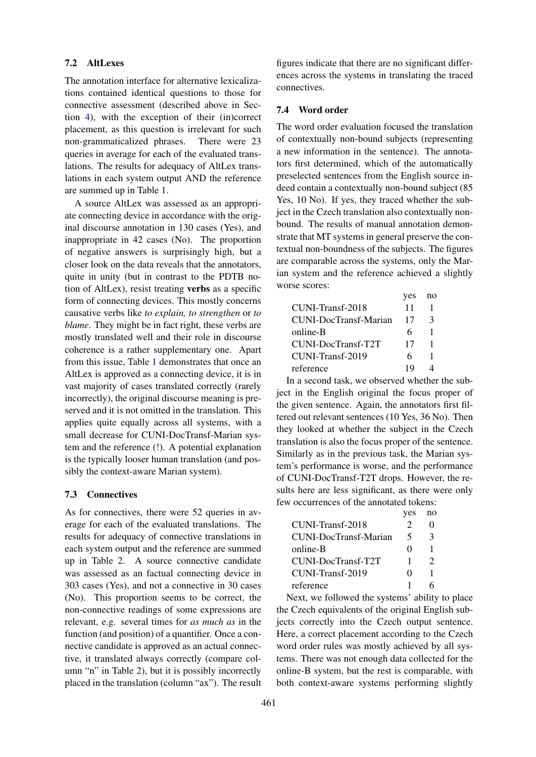### 7.2 AltLexes

The annotation interface for alternative lexicalizations contained identical questions to those for connective assessment (described above in Section [4\)](#page-1-1), with the exception of their (in)correct placement, as this question is irrelevant for such non-grammaticalized phrases. There were 23 queries in average for each of the evaluated translations. The results for adequacy of AltLex translations in each system output AND the reference are summed up in Table [1.](#page-7-0)

A source AltLex was assessed as an appropriate connecting device in accordance with the original discourse annotation in 130 cases (Yes), and inappropriate in 42 cases (No). The proportion of negative answers is surprisingly high, but a closer look on the data reveals that the annotators, quite in unity (but in contrast to the PDTB notion of AltLex), resist treating verbs as a specific form of connecting devices. This mostly concerns causative verbs like *to explain, to strengthen* or *to blame*. They might be in fact right, these verbs are mostly translated well and their role in discourse coherence is a rather supplementary one. Apart from this issue, Table [1](#page-7-0) demonstrates that once an AltLex is approved as a connecting device, it is in vast majority of cases translated correctly (rarely incorrectly), the original discourse meaning is preserved and it is not omitted in the translation. This applies quite equally across all systems, with a small decrease for CUNI-DocTransf-Marian system and the reference (!). A potential explanation is the typically looser human translation (and possibly the context-aware Marian system).

#### 7.3 Connectives

As for connectives, there were 52 queries in average for each of the evaluated translations. The results for adequacy of connective translations in each system output and the reference are summed up in Table [2.](#page-7-1) A source connective candidate was assessed as an factual connecting device in 303 cases (Yes), and not a connective in 30 cases (No). This proportion seems to be correct, the non-connective readings of some expressions are relevant, e.g. several times for *as much as* in the function (and position) of a quantifier. Once a connective candidate is approved as an actual connective, it translated always correctly (compare column "n" in Table [2\)](#page-7-1), but it is possibly incorrectly placed in the translation (column "ax"). The result

figures indicate that there are no significant differences across the systems in translating the traced connectives.

### 7.4 Word order

The word order evaluation focused the translation of contextually non-bound subjects (representing a new information in the sentence). The annotators first determined, which of the automatically preselected sentences from the English source indeed contain a contextually non-bound subject (85 Yes, 10 No). If yes, they traced whether the subject in the Czech translation also contextually nonbound. The results of manual annotation demonstrate that MT systems in general preserve the contextual non-boundness of the subjects. The figures are comparable across the systems, only the Marian system and the reference achieved a slightly worse scores:

|                       | yes |   |
|-----------------------|-----|---|
| CUNI-Transf-2018      | 11  |   |
| CUNI-DocTransf-Marian | 17  | 3 |
| online-B              | 6   |   |
| CUNI-DocTransf-T2T    | 17  |   |
| CUNI-Transf-2019      | 6   |   |
| reference             | 19  |   |

In a second task, we observed whether the subject in the English original the focus proper of the given sentence. Again, the annotators first filtered out relevant sentences (10 Yes, 36 No). Then they looked at whether the subject in the Czech translation is also the focus proper of the sentence. Similarly as in the previous task, the Marian system's performance is worse, and the performance of CUNI-DocTransf-T2T drops. However, the results here are less significant, as there were only few occurrences of the annotated tokens:

|                       | yes               | no |
|-----------------------|-------------------|----|
| CUNI-Transf-2018      | 2                 |    |
| CUNI-DocTransf-Marian | 5                 | 3  |
| online-B              | $\mathbf{\Omega}$ |    |
| CUNI-DocTransf-T2T    |                   | 2  |
| CUNI-Transf-2019      | $\mathbf{\Omega}$ |    |
| reference             |                   |    |

Next, we followed the systems' ability to place the Czech equivalents of the original English subjects correctly into the Czech output sentence. Here, a correct placement according to the Czech word order rules was mostly achieved by all systems. There was not enough data collected for the online-B system, but the rest is comparable, with both context-aware systems performing slightly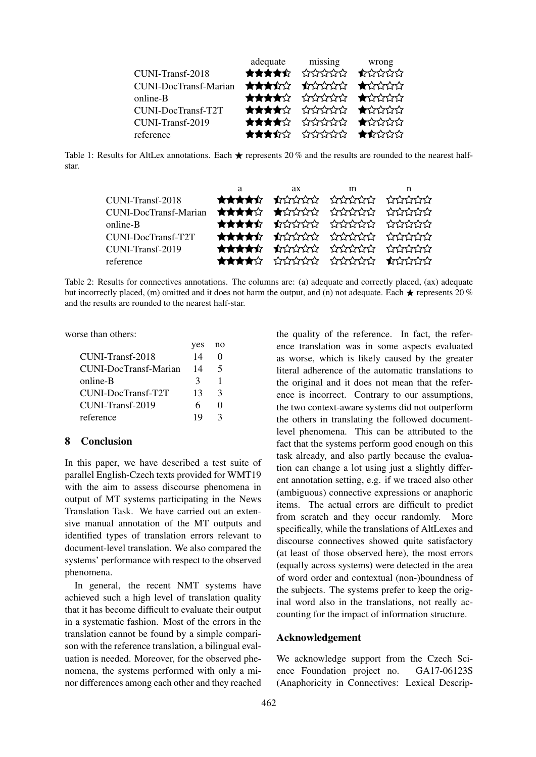<span id="page-7-0"></span>

|                              | adequate missing wrong |  |
|------------------------------|------------------------|--|
| CUNI-Transf-2018             | ★★★★☆ ☆☆☆☆☆ ★☆☆☆☆      |  |
| <b>CUNI-DocTransf-Marian</b> | ★★★★☆ ★☆☆☆☆ ★☆☆☆☆      |  |
| online-B                     | ★★★★☆ ☆☆☆☆☆ ★☆☆☆☆      |  |
| <b>CUNI-DocTransf-T2T</b>    | ★★★★☆ ☆☆☆☆☆ ★☆☆☆☆      |  |
| CUNI-Transf-2019             | ★★★★☆ ☆☆☆☆☆ ★☆☆☆☆      |  |
| reference                    | ★★★☆☆ ☆☆☆☆☆ ★☆☆☆☆      |  |

<span id="page-7-1"></span>Table 1: Results for AltLex annotations. Each  $\star$  represents 20 % and the results are rounded to the nearest halfstar.

|                                                   | a | $ax \sim$ | m | n |
|---------------------------------------------------|---|-----------|---|---|
| CUNI-Transf-2018                                  |   |           |   |   |
| CUNI-DocTransf-Marian ****** ****** ****** ****** |   |           |   |   |
| online-B                                          |   |           |   |   |
| CUNI-DocTransf-T2T                                |   |           |   |   |
| CUNI-Transf-2019                                  |   |           |   |   |
| reference                                         |   |           |   |   |

Table 2: Results for connectives annotations. The columns are: (a) adequate and correctly placed, (ax) adequate but incorrectly placed, (m) omitted and it does not harm the output, and (n) not adequate. Each  $\star$  represents 20 % and the results are rounded to the nearest half-star.

worse than others:

| 14 |                   |        |
|----|-------------------|--------|
| 14 | 5                 |        |
| 3  |                   |        |
| 13 | $\mathcal{R}$     |        |
| 6  | $\mathbf{\Omega}$ |        |
| 19 | 3                 |        |
|    | <b>YUS</b>        | - 11 U |

 $y^{\alpha}$  no

### 8 Conclusion

In this paper, we have described a test suite of parallel English-Czech texts provided for WMT19 with the aim to assess discourse phenomena in output of MT systems participating in the News Translation Task. We have carried out an extensive manual annotation of the MT outputs and identified types of translation errors relevant to document-level translation. We also compared the systems' performance with respect to the observed phenomena.

In general, the recent NMT systems have achieved such a high level of translation quality that it has become difficult to evaluate their output in a systematic fashion. Most of the errors in the translation cannot be found by a simple comparison with the reference translation, a bilingual evaluation is needed. Moreover, for the observed phenomena, the systems performed with only a minor differences among each other and they reached

the quality of the reference. In fact, the reference translation was in some aspects evaluated as worse, which is likely caused by the greater literal adherence of the automatic translations to the original and it does not mean that the reference is incorrect. Contrary to our assumptions, the two context-aware systems did not outperform the others in translating the followed documentlevel phenomena. This can be attributed to the fact that the systems perform good enough on this task already, and also partly because the evaluation can change a lot using just a slightly different annotation setting, e.g. if we traced also other (ambiguous) connective expressions or anaphoric items. The actual errors are difficult to predict from scratch and they occur randomly. More specifically, while the translations of AltLexes and discourse connectives showed quite satisfactory (at least of those observed here), the most errors (equally across systems) were detected in the area of word order and contextual (non-)boundness of the subjects. The systems prefer to keep the original word also in the translations, not really accounting for the impact of information structure.

### Acknowledgement

We acknowledge support from the Czech Science Foundation project no. GA17-06123S (Anaphoricity in Connectives: Lexical Descrip